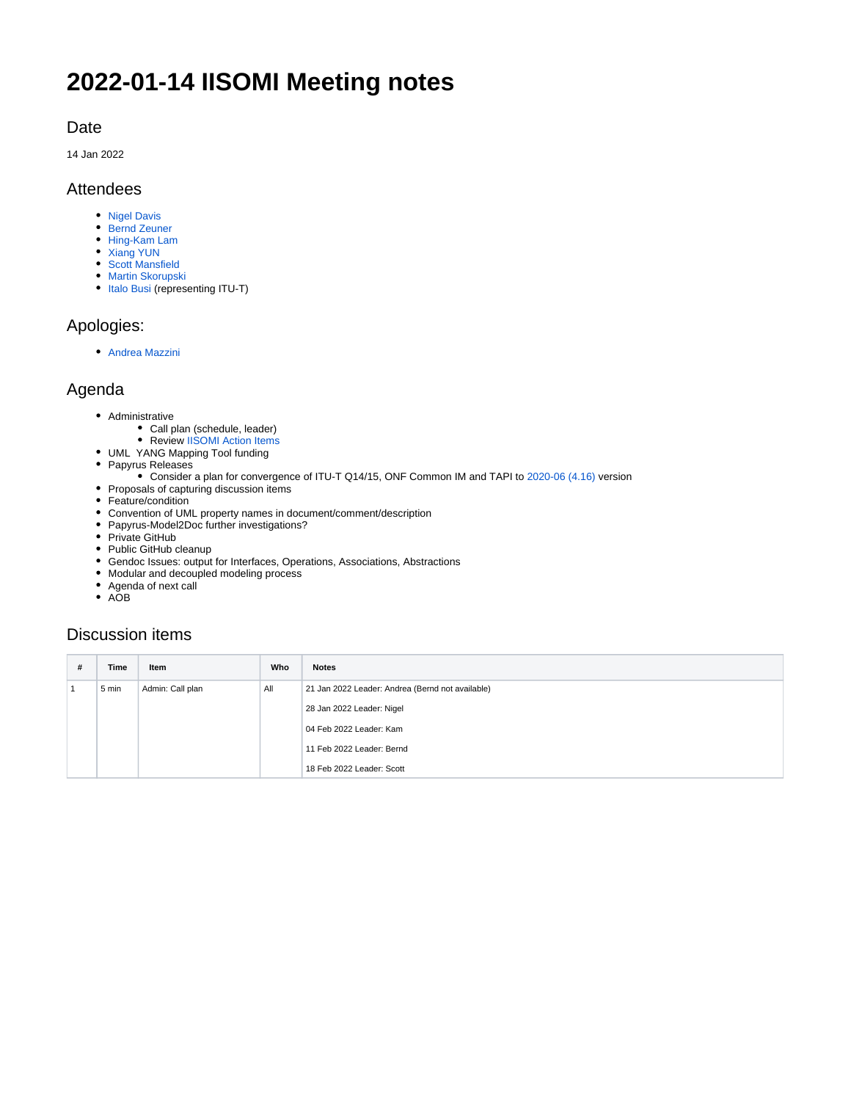# **2022-01-14 IISOMI Meeting notes**

### Date

14 Jan 2022

### Attendees

- [Nigel Davis](https://wiki.opennetworking.org/display/~ndavis@ciena.com)
- [Bernd Zeuner](https://wiki.opennetworking.org/display/~b.zeuner@telekom.de)
- [Hing-Kam Lam](https://wiki.opennetworking.org/display/~hingkam.lam)
- [Xiang YUN](https://wiki.opennetworking.org/display/~Xiang+YUN)
- [Scott Mansfield](https://wiki.opennetworking.org/display/~scott.mansfield) [Martin Skorupski](https://wiki.opennetworking.org/display/~demx8as6)
- [Italo Busi](https://wiki.opennetworking.org/display/~ibusi) (representing ITU-T)

## Apologies:

[Andrea Mazzini](https://wiki.opennetworking.org/display/~mazzini)

## Agenda

- Administrative
	- Call plan (schedule, leader)
	- Review [IISOMI Action Items](https://urldefense.com/v3/__https:/wiki.opennetworking.org/display/OIMT/IISOMI*Action*Items__;Kys!!OSsGDw!bPcuD8T61uZXjZHWBR2z2rReR13F5Gi30NncSztOJ1pvbP-FXpzy-7LbFNHN$)
- UML YANG Mapping Tool funding
- Papyrus Releases
	- Consider a plan for convergence of ITU-T Q14/15, ONF Common IM and TAPI to [2020-06 \(4.16\)](https://www.eclipse.org/downloads/packages/release/2020-06/r/eclipse-modeling-tools) version
- Proposals of capturing discussion items
- Feature/condition
- Convention of UML property names in document/comment/description
- Papyrus-Model2Doc further investigations?
- Private GitHub
- Public GitHub cleanup
- Gendoc Issues: output for Interfaces, Operations, Associations, Abstractions
- Modular and decoupled modeling process
- Agenda of next call
- AOB

## Discussion items

| # | Time  | Item             | Who | <b>Notes</b>                                     |
|---|-------|------------------|-----|--------------------------------------------------|
|   | 5 min | Admin: Call plan | All | 21 Jan 2022 Leader: Andrea (Bernd not available) |
|   |       |                  |     | 28 Jan 2022 Leader: Nigel                        |
|   |       |                  |     | 04 Feb 2022 Leader: Kam                          |
|   |       |                  |     | 11 Feb 2022 Leader: Bernd                        |
|   |       |                  |     | 18 Feb 2022 Leader: Scott                        |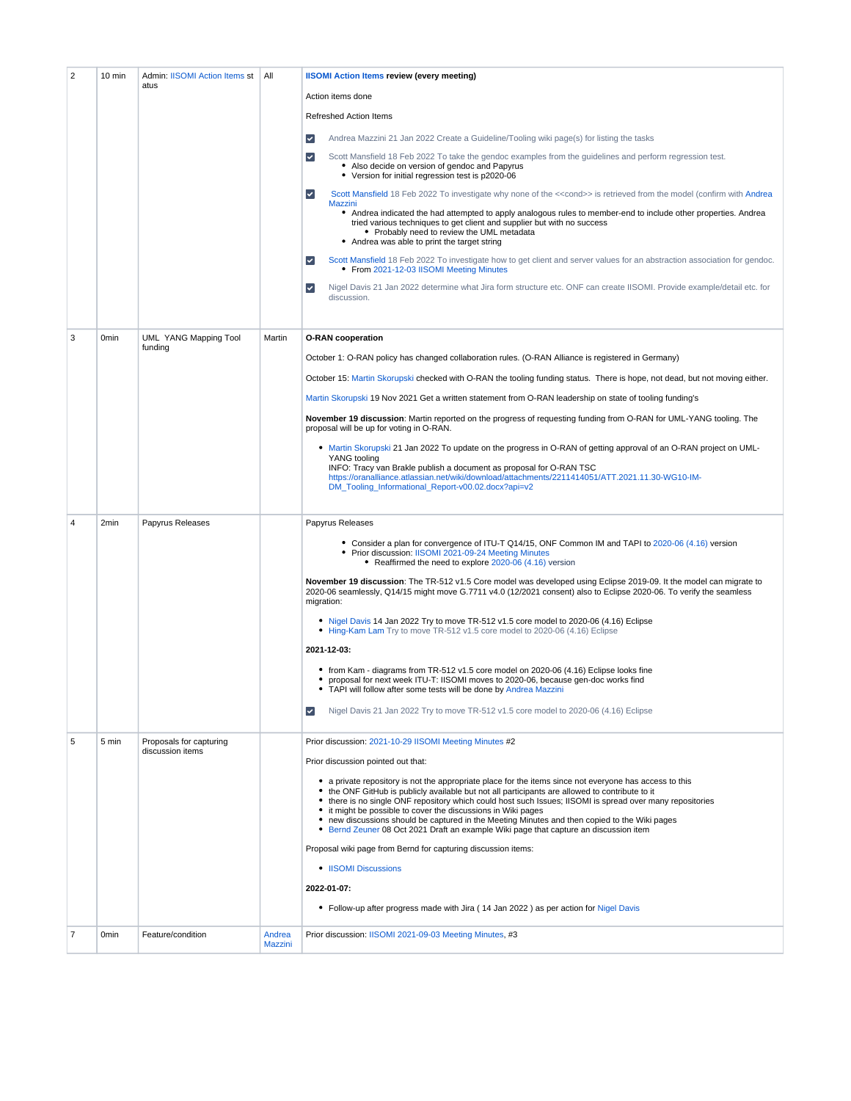| $\overline{2}$ | $10 \text{ min}$ | Admin: IISOMI Action Items st<br>atus | All               | <b>IISOMI Action Items review (every meeting)</b>                                                                                                                                                                                                                                                   |
|----------------|------------------|---------------------------------------|-------------------|-----------------------------------------------------------------------------------------------------------------------------------------------------------------------------------------------------------------------------------------------------------------------------------------------------|
|                |                  |                                       |                   | Action items done                                                                                                                                                                                                                                                                                   |
|                |                  |                                       |                   | <b>Refreshed Action Items</b>                                                                                                                                                                                                                                                                       |
|                |                  |                                       |                   | $\blacktriangledown$<br>Andrea Mazzini 21 Jan 2022 Create a Guideline/Tooling wiki page(s) for listing the tasks                                                                                                                                                                                    |
|                |                  |                                       |                   | $\blacktriangledown$<br>Scott Mansfield 18 Feb 2022 To take the gendoc examples from the guidelines and perform regression test.<br>• Also decide on version of gendoc and Papyrus<br>• Version for initial regression test is p2020-06                                                             |
|                |                  |                                       |                   | Scott Mansfield 18 Feb 2022 To investigate why none of the < <cond>&gt; is retrieved from the model (confirm with Andrea<br/><math>\blacktriangledown</math></cond>                                                                                                                                 |
|                |                  |                                       |                   | Mazzini<br>• Andrea indicated the had attempted to apply analogous rules to member-end to include other properties. Andrea<br>tried various techniques to get client and supplier but with no success<br>• Probably need to review the UML metadata<br>• Andrea was able to print the target string |
|                |                  |                                       |                   | $\blacktriangledown$<br>Scott Mansfield 18 Feb 2022 To investigate how to get client and server values for an abstraction association for gendoc.<br>• From 2021-12-03 IISOMI Meeting Minutes                                                                                                       |
|                |                  |                                       |                   | Nigel Davis 21 Jan 2022 determine what Jira form structure etc. ONF can create IISOMI. Provide example/detail etc. for<br>$\blacktriangledown$<br>discussion.                                                                                                                                       |
| 3              | <b>Omin</b>      | UML YANG Mapping Tool                 | Martin            | <b>O-RAN cooperation</b>                                                                                                                                                                                                                                                                            |
|                |                  | funding                               |                   | October 1: O-RAN policy has changed collaboration rules. (O-RAN Alliance is registered in Germany)                                                                                                                                                                                                  |
|                |                  |                                       |                   | October 15: Martin Skorupski checked with O-RAN the tooling funding status. There is hope, not dead, but not moving either.                                                                                                                                                                         |
|                |                  |                                       |                   | Martin Skorupski 19 Nov 2021 Get a written statement from O-RAN leadership on state of tooling funding's                                                                                                                                                                                            |
|                |                  |                                       |                   | November 19 discussion: Martin reported on the progress of requesting funding from O-RAN for UML-YANG tooling. The<br>proposal will be up for voting in O-RAN.                                                                                                                                      |
|                |                  |                                       |                   | • Martin Skorupski 21 Jan 2022 To update on the progress in O-RAN of getting approval of an O-RAN project on UML-<br>YANG tooling                                                                                                                                                                   |
|                |                  |                                       |                   | INFO: Tracy van Brakle publish a document as proposal for O-RAN TSC<br>https://oranalliance.atlassian.net/wiki/download/attachments/2211414051/ATT.2021.11.30-WG10-IM-<br>DM_Tooling_Informational_Report-v00.02.docx?api=v2                                                                        |
| 4              | 2 <sub>min</sub> | Papyrus Releases                      |                   | Papyrus Releases                                                                                                                                                                                                                                                                                    |
|                |                  |                                       |                   | • Consider a plan for convergence of ITU-T Q14/15, ONF Common IM and TAPI to 2020-06 (4.16) version<br>• Prior discussion: IISOMI 2021-09-24 Meeting Minutes<br>• Reaffirmed the need to explore 2020-06 (4.16) version                                                                             |
|                |                  |                                       |                   | November 19 discussion: The TR-512 v1.5 Core model was developed using Eclipse 2019-09. It the model can migrate to<br>2020-06 seamlessly, Q14/15 might move G.7711 v4.0 (12/2021 consent) also to Eclipse 2020-06. To verify the seamless<br>migration:                                            |
|                |                  |                                       |                   | • Nigel Davis 14 Jan 2022 Try to move TR-512 v1.5 core model to 2020-06 (4.16) Eclipse<br>• Hing-Kam Lam Try to move TR-512 v1.5 core model to 2020-06 (4.16) Eclipse                                                                                                                               |
|                |                  |                                       |                   | 2021-12-03:                                                                                                                                                                                                                                                                                         |
|                |                  |                                       |                   | • from Kam - diagrams from TR-512 v1.5 core model on 2020-06 (4.16) Eclipse looks fine<br>proposal for next week ITU-T: IISOMI moves to 2020-06, because gen-doc works find<br>• TAPI will follow after some tests will be done by Andrea Mazzini                                                   |
|                |                  |                                       |                   | Nigel Davis 21 Jan 2022 Try to move TR-512 v1.5 core model to 2020-06 (4.16) Eclipse<br>$\blacktriangledown$                                                                                                                                                                                        |
| 5              | 5 min            | Proposals for capturing               |                   | Prior discussion: 2021-10-29 IISOMI Meeting Minutes #2                                                                                                                                                                                                                                              |
|                |                  | discussion items                      |                   | Prior discussion pointed out that:                                                                                                                                                                                                                                                                  |
|                |                  |                                       |                   | • a private repository is not the appropriate place for the items since not everyone has access to this                                                                                                                                                                                             |
|                |                  |                                       |                   | • the ONF GitHub is publicly available but not all participants are allowed to contribute to it<br>• there is no single ONF repository which could host such Issues; IISOMI is spread over many repositories                                                                                        |
|                |                  |                                       |                   | • it might be possible to cover the discussions in Wiki pages<br>• new discussions should be captured in the Meeting Minutes and then copied to the Wiki pages<br>• Bernd Zeuner 08 Oct 2021 Draft an example Wiki page that capture an discussion item                                             |
|                |                  |                                       |                   | Proposal wiki page from Bernd for capturing discussion items:                                                                                                                                                                                                                                       |
|                |                  |                                       |                   | • IISOMI Discussions                                                                                                                                                                                                                                                                                |
|                |                  |                                       |                   | 2022-01-07:                                                                                                                                                                                                                                                                                         |
|                |                  |                                       |                   | • Follow-up after progress made with Jira (14 Jan 2022) as per action for Nigel Davis                                                                                                                                                                                                               |
| 7              | <b>Omin</b>      | Feature/condition                     | Andrea<br>Mazzini | Prior discussion: IISOMI 2021-09-03 Meeting Minutes, #3                                                                                                                                                                                                                                             |